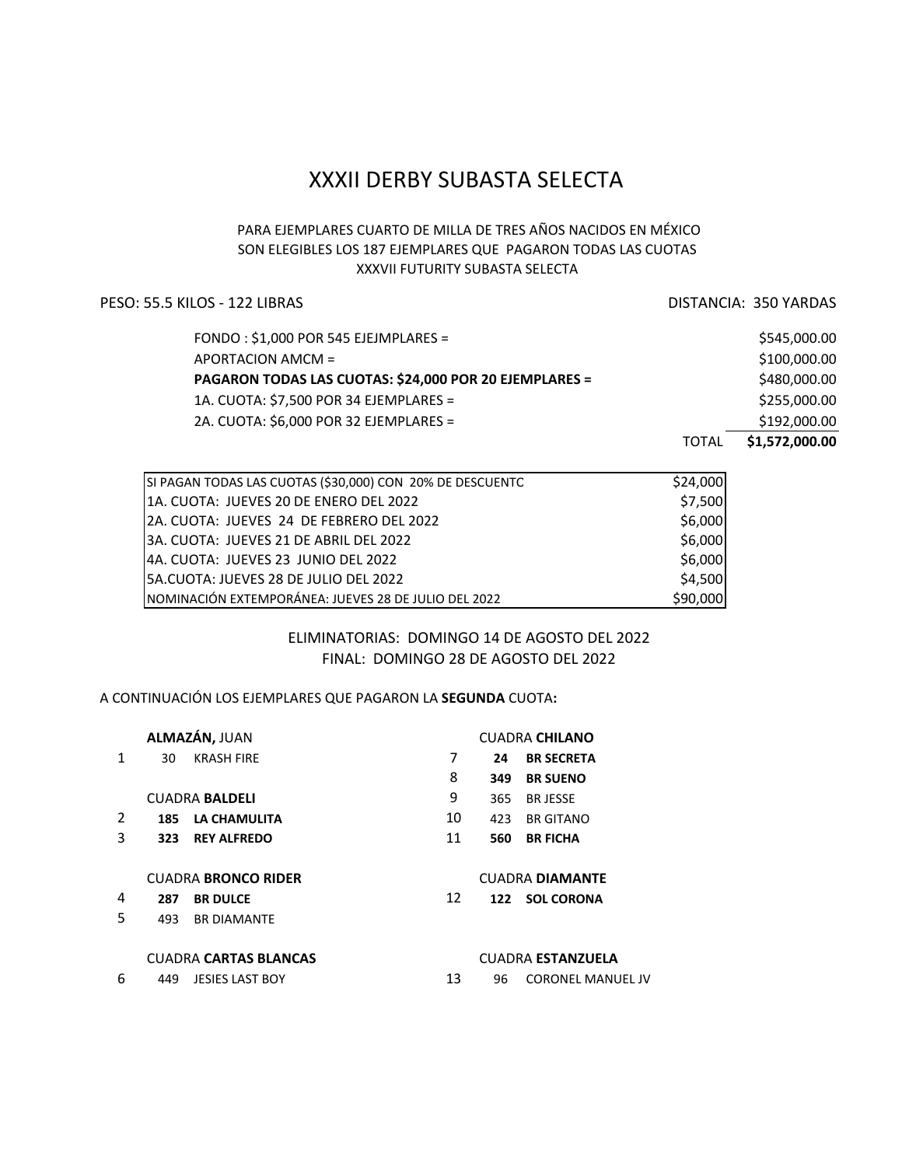# **XXXII DERBY SUBASTA SELECTA**

# PARA EJEMPLARES CUARTO DE MILLA DE TRES AÑOS NACIDOS EN MÉXICO SON ELEGIBLES LOS 187 EJEMPLARES QUE PAGARON TODAS LAS CUOTAS **XXXVII FUTURITY SUBASTA SELECTA**

# PESO: 55.5 KILOS - 122 LIBRAS DISTANCIA: 350 YARDAS

|                                                        | TOTAL | \$1,572,000.00 |
|--------------------------------------------------------|-------|----------------|
| 2A. CUOTA: \$6,000 POR 32 EJEMPLARES =                 |       | \$192,000.00   |
| 1A. CUOTA: \$7,500 POR 34 EJEMPLARES =                 |       | \$255,000.00   |
| PAGARON TODAS LAS CUOTAS: \$24,000 POR 20 EJEMPLARES = |       | \$480,000.00   |
| APORTACION AMCM =                                      |       | \$100,000.00   |
| FONDO: $$1,000$ POR 545 EJEJMPLARES =                  |       | \$545,000.00   |

| SI PAGAN TODAS LAS CUOTAS (\$30,000) CON 20% DE DESCUENTC | \$24,000 |
|-----------------------------------------------------------|----------|
| l1A. CUOTA: JUEVES 20 DE ENERO DEL 2022                   | \$7,500  |
| 2A. CUOTA: JUEVES 24 DE FEBRERO DEL 2022                  | \$6,000  |
| l3A. CUOTA: JUEVES 21 DE ABRIL DEL 2022                   | \$6,000  |
| 4A. CUOTA: JUEVES 23 JUNIO DEL 2022                       | \$6,000  |
| l5A.CUOTA: JUEVES 28 DE JULIO DEL 2022                    | \$4,500  |
| NOMINACIÓN EXTEMPORÁNEA: JUEVES 28 DE JULIO DEL 2022      | \$90,000 |

# ELIMINATORIAS: DOMINGO 14 DE AGOSTO DEL 2022 FINAL: DOMINGO 28 DE AGOSTO DEL 2022

### A CONTINUACIÓN LOS EJEMPLARES QUE PAGARON LA **SEGUNDA** CUOTA**:**

| ALMAZÁN, JUAN              |     |                              | <b>CUADRA CHILANO</b> |                        |                          |  |  |
|----------------------------|-----|------------------------------|-----------------------|------------------------|--------------------------|--|--|
| 1                          | 30  | <b>KRASH FIRE</b>            | 7                     | 24                     | <b>BR SECRETA</b>        |  |  |
|                            |     |                              | 8                     | 349                    | <b>BR SUENO</b>          |  |  |
|                            |     | <b>CUADRA BALDELI</b>        | 9                     | 365                    | <b>BRJESSE</b>           |  |  |
| 2                          |     | 185 LA CHAMULITA             | 10                    | 423                    | <b>BR GITANO</b>         |  |  |
| 3                          | 323 | <b>REY ALFREDO</b>           | 11                    | 560                    | <b>BR FICHA</b>          |  |  |
| <b>CUADRA BRONCO RIDER</b> |     |                              |                       | <b>CUADRA DIAMANTE</b> |                          |  |  |
| 4                          | 287 | <b>BR DULCE</b>              | 12                    | 122                    | <b>SOL CORONA</b>        |  |  |
| 5                          | 493 | <b>BR DIAMANTE</b>           |                       |                        |                          |  |  |
|                            |     | <b>CUADRA CARTAS BLANCAS</b> |                       |                        | <b>CUADRA ESTANZUELA</b> |  |  |
| 6                          | 449 | <b>JESIES LAST BOY</b>       | 13                    | 96                     | <b>CORONEL MANUEL JV</b> |  |  |
|                            |     |                              |                       |                        |                          |  |  |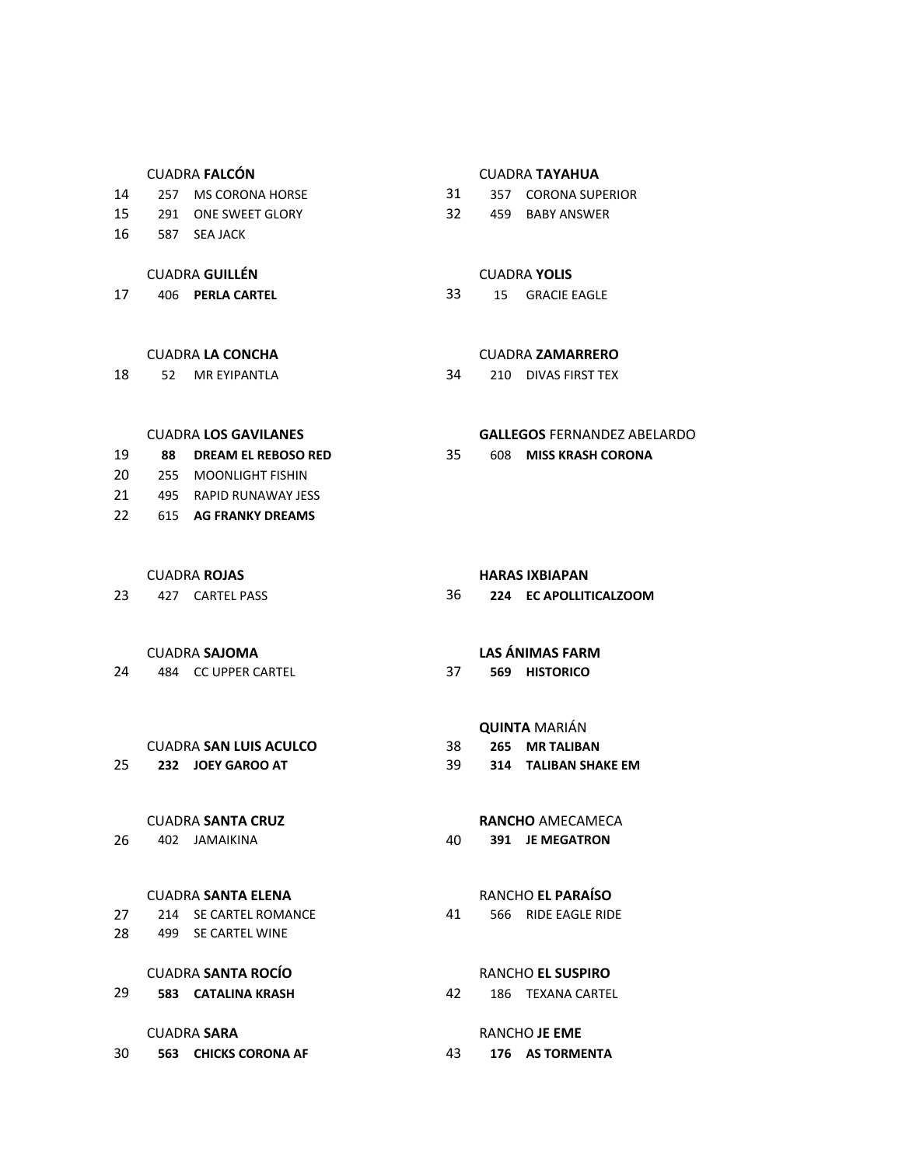- 
- 
- 16 587 SEA JACK

# **CUADRA GUILLÉN** CUADRA **YOLIS**

17 406 **PERLA CARTEL** 33 15 GRACIE EAGLE

18 52 MR EYIPANTLA 34 210 DIVAS FIRST TEX

# CUADRA **FALCÓN** CUADRA **TAYAHUA**

- 14 257 MS CORONA HORSE 31 357 CORONA SUPERIOR
- 15 291 ONE SWEET GLORY 32 459 BABY ANSWER

### CUADRA **LA CONCHA**  CUADRA **ZAMARRERO**

### **CUADRA LOS GAVILANES <b>GALLEGOS** FERNANDEZ ABELARDO

- 19 **88 DREAM EL REBOSO RED** 35 608 **MISS KRASH CORONA** 20 255 MOONLIGHT FISHIN 21 495 RAPID RUNAWAY JESS
- 22 615 AG FRANKY DREAMS
	-
- 

24 484 CC UPPER CARTEL 37 **569 HISTORICO**

### **CUADRA SAN LUIS ACULCO** 38 265 MR TALIBAN

### CUADRA **SANTA CRUZ RANCHO** AMECAMECA

### **CUADRA SANTA ELENA** RANCHO EL PARAÍSO

27 214 SE CARTEL ROMANCE 41 566 RIDE EAGLE RIDE 28 499 SE CARTEL WINE

# **CUADRA SANTA ROCÍO** RANCHO EL SUSPIRO

29 **583 CATALINA KRASH** 42 186 TEXANA CARTEL

30 **563 CHICKS CORONA AF** 43 **176 AS TORMENTA** 

### **CUADRA ROJAS HARAS IXBIAPAN**

23 427 CARTEL PASS 36 **224 EC APOLLITICALZOOM**

### CUADRA **SAJOMA LAS ÁNIMAS FARM**

# **QUINTA** MARIÁN

- 
- 25 **232 JOEY GAROO AT** 39 **314 TALIBAN SHAKE EM**

26 402 JAMAIKINA 40 **391 JE MEGATRON**

### **CUADRA SARA RANCHO** JE EME